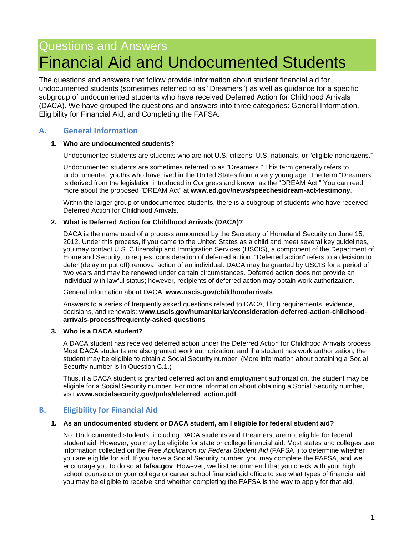# Questions and Answers Financial Aid and Undocumented Students

The questions and answers that follow provide information about student financial aid for undocumented students (sometimes referred to as "Dreamers") as well as guidance for a specific subgroup of undocumented students who have received Deferred Action for Childhood Arrivals (DACA). We have grouped the questions and answers into three categories: General Information, Eligibility for Financial Aid, and Completing the FAFSA.

# **A. General Information**

# **1. Who are undocumented students?**

Undocumented students are students who are not U.S. citizens, U.S. nationals, or "eligible noncitizens."

Undocumented students are sometimes referred to as "Dreamers." This term generally refers to undocumented youths who have lived in the United States from a very young age. The term "Dreamers" is derived from the legislation introduced in Congress and known as the "DREAM Act." You can read more about the proposed "DREAM Act" at **[www.ed.gov/news/speeches/dream-act-testimony](http://www.ed.gov/news/speeches/dream-act-testimony)**.

Within the larger group of undocumented students, there is a subgroup of students who have received Deferred Action for Childhood Arrivals.

## **2. What is Deferred Action for Childhood Arrivals (DACA)?**

DACA is the name used of a process announced by the Secretary of Homeland Security on June 15, 2012. Under this process, if you came to the United States as a child and meet several key guidelines, you may contact U.S. Citizenship and Immigration Services (USCIS), a component of the Department of Homeland Security, to request consideration of deferred action. "Deferred action" refers to a decision to defer (delay or put off) removal action of an individual. DACA may be granted by USCIS for a period of two years and may be renewed under certain circumstances. Deferred action does not provide an individual with lawful status; however, recipients of deferred action may obtain work authorization.

General information about DACA: **[www.uscis.gov/childhoodarrivals](http://www.uscis.gov/childhoodarrivals)**

Answers to a series of frequently asked questions related to DACA, filing requirements, evidence, decisions, and renewals: **[www.uscis.gov/humanitarian/consideration-deferred-action-childhood](http://www.uscis.gov/humanitarian/consideration-deferred-action-childhood-arrivals-process/frequently-asked-questions)[arrivals-process/frequently-asked-questions](http://www.uscis.gov/humanitarian/consideration-deferred-action-childhood-arrivals-process/frequently-asked-questions)**

## **3. Who is a DACA student?**

A DACA student has received deferred action under the Deferred Action for Childhood Arrivals process. Most DACA students are also granted work authorization; and if a student has work authorization, the student may be eligible to obtain a Social Security number. (More information about obtaining a Social Security number is in Question C.1.)

Thus, if a DACA student is granted deferred action **and** employment authorization, the student may be eligible for a Social Security number. For more information about obtaining a Social Security number, visit **[www.socialsecurity.gov/pubs/deferred\\_action.pdf](http://www.socialsecurity.gov/pubs/deferred_action.pdf)**.

# **B. Eligibility for Financial Aid**

## **1. As an undocumented student or DACA student, am I eligible for federal student aid?**

No. Undocumented students, including DACA students and Dreamers, are not eligible for federal student aid. However, you may be eligible for state or college financial aid. Most states and colleges use information collected on the *Free Application for Federal Student Aid* (FAFSA® ) to determine whether you are eligible for aid. If you have a Social Security number, you may complete the FAFSA, and we encourage you to do so at **[fafsa.gov](http://fafsa.gov/)**. However, we first recommend that you check with your high school counselor or your college or career school financial aid office to see what types of financial aid you may be eligible to receive and whether completing the FAFSA is the way to apply for that aid.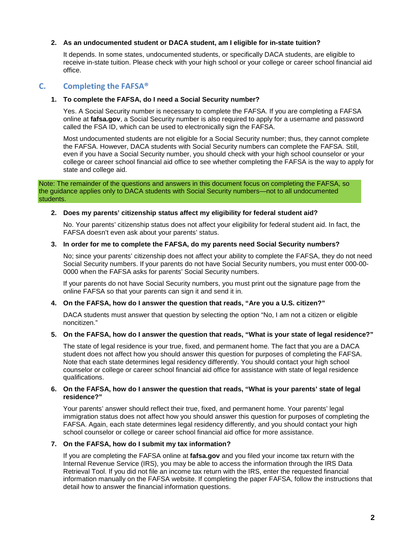#### **2. As an undocumented student or DACA student, am I eligible for in-state tuition?**

It depends. In some states, undocumented students, or specifically DACA students, are eligible to receive in-state tuition. Please check with your high school or your college or career school financial aid office.

# **C. Completing the FAFSA®**

#### **1. To complete the FAFSA, do I need a Social Security number?**

Yes. A Social Security number is necessary to complete the FAFSA. If you are completing a FAFSA online at **[fafsa.gov](http://fafsa.gov/)**, a Social Security number is also required to apply for a username and password called the FSA ID, which can be used to electronically sign the FAFSA.

Most undocumented students are not eligible for a Social Security number; thus, they cannot complete the FAFSA. However, DACA students with Social Security numbers can complete the FAFSA. Still, even if you have a Social Security number, you should check with your high school counselor or your college or career school financial aid office to see whether completing the FAFSA is the way to apply for state and college aid.

Note: The remainder of the questions and answers in this document focus on completing the FAFSA, so the guidance applies only to DACA students with Social Security numbers—not to all undocumented students.

#### **2. Does my parents' citizenship status affect my eligibility for federal student aid?**

No. Your parents' citizenship status does not affect your eligibility for federal student aid. In fact, the FAFSA doesn't even ask about your parents' status.

#### **3. In order for me to complete the FAFSA, do my parents need Social Security numbers?**

No; since your parents' citizenship does not affect your ability to complete the FAFSA, they do not need Social Security numbers. If your parents do not have Social Security numbers, you must enter 000-00- 0000 when the FAFSA asks for parents' Social Security numbers.

If your parents do not have Social Security numbers, you must print out the signature page from the online FAFSA so that your parents can sign it and send it in.

#### **4. On the FAFSA, how do I answer the question that reads, "Are you a U.S. citizen?"**

DACA students must answer that question by selecting the option "No, I am not a citizen or eligible noncitizen."

#### **5. On the FAFSA, how do I answer the question that reads, "What is your state of legal residence?"**

The state of legal residence is your true, fixed, and permanent home. The fact that you are a DACA student does not affect how you should answer this question for purposes of completing the FAFSA. Note that each state determines legal residency differently. You should contact your high school counselor or college or career school financial aid office for assistance with state of legal residence qualifications.

#### **6. On the FAFSA, how do I answer the question that reads, "What is your parents' state of legal residence?"**

Your parents' answer should reflect their true, fixed, and permanent home. Your parents' legal immigration status does not affect how you should answer this question for purposes of completing the FAFSA. Again, each state determines legal residency differently, and you should contact your high school counselor or college or career school financial aid office for more assistance.

#### **7. On the FAFSA, how do I submit my tax information?**

If you are completing the FAFSA online at **[fafsa.gov](http://fafsa.gov/)** and you filed your income tax return with the Internal Revenue Service (IRS), you may be able to access the information through the IRS Data Retrieval Tool. If you did not file an income tax return with the IRS, enter the requested financial information manually on the FAFSA website. If completing the paper FAFSA, follow the instructions that detail how to answer the financial information questions.